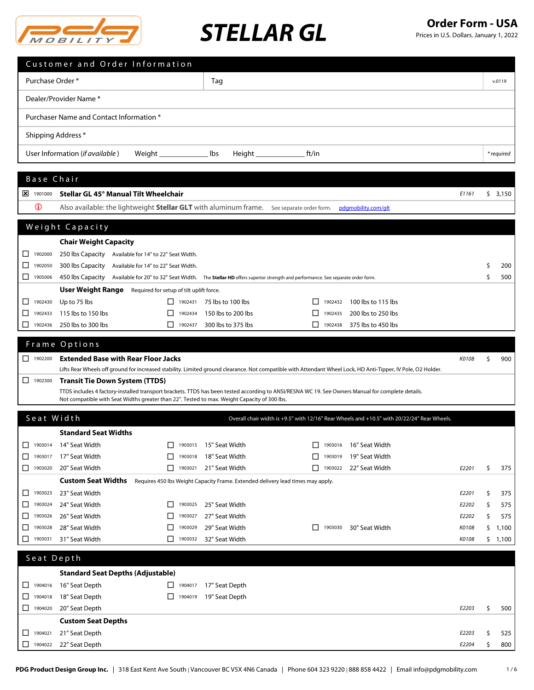

|                               | Customer and Order Information                                                                                                                                                                                                                    |                         |                                                                                 |              |         |                                                                                             |       |     |            |
|-------------------------------|---------------------------------------------------------------------------------------------------------------------------------------------------------------------------------------------------------------------------------------------------|-------------------------|---------------------------------------------------------------------------------|--------------|---------|---------------------------------------------------------------------------------------------|-------|-----|------------|
| Purchase Order*               |                                                                                                                                                                                                                                                   |                         | Tag                                                                             |              |         |                                                                                             |       |     | v.0119     |
|                               |                                                                                                                                                                                                                                                   |                         |                                                                                 |              |         |                                                                                             |       |     |            |
|                               | Dealer/Provider Name*                                                                                                                                                                                                                             |                         |                                                                                 |              |         |                                                                                             |       |     |            |
|                               | Purchaser Name and Contact Information *                                                                                                                                                                                                          |                         |                                                                                 |              |         |                                                                                             |       |     |            |
| Shipping Address *            |                                                                                                                                                                                                                                                   |                         |                                                                                 |              |         |                                                                                             |       |     |            |
|                               |                                                                                                                                                                                                                                                   |                         |                                                                                 |              |         |                                                                                             |       |     |            |
|                               | User Information (if available)<br>Weight __                                                                                                                                                                                                      |                         | lbs<br>$Height \_$                                                              | ft/in        |         |                                                                                             |       |     | * required |
| Base Chair                    |                                                                                                                                                                                                                                                   |                         |                                                                                 |              |         |                                                                                             |       |     |            |
| $\frac{1}{2}$ 1901000         | Stellar GL 45° Manual Tilt Wheelchair                                                                                                                                                                                                             |                         |                                                                                 |              |         |                                                                                             | E1161 |     | \$3,150    |
| $\mathbf 0$                   | Also available: the lightweight Stellar GLT with aluminum frame. See separate order form.                                                                                                                                                         |                         |                                                                                 |              |         | pdgmobility.com/glt                                                                         |       |     |            |
|                               |                                                                                                                                                                                                                                                   |                         |                                                                                 |              |         |                                                                                             |       |     |            |
|                               | Weight Capacity                                                                                                                                                                                                                                   |                         |                                                                                 |              |         |                                                                                             |       |     |            |
|                               | <b>Chair Weight Capacity</b>                                                                                                                                                                                                                      |                         |                                                                                 |              |         |                                                                                             |       |     |            |
| ப<br>1902000                  | 250 lbs Capacity Available for 14" to 22" Seat Width.                                                                                                                                                                                             |                         |                                                                                 |              |         |                                                                                             |       |     |            |
| 1902050<br>ப                  | 300 lbs Capacity Available for 14" to 22" Seat Width.                                                                                                                                                                                             |                         |                                                                                 |              |         |                                                                                             |       |     | 200        |
| $\Box$ 1905006                | 450 lbs Capacity Available for 20" to 32" Seat Width. The Stellar HD offers superior strength and performance. See separate order form.                                                                                                           |                         |                                                                                 |              |         |                                                                                             |       | Ś.  | 500        |
|                               | <b>User Weight Range</b> Required for setup of tilt uplift force.                                                                                                                                                                                 |                         |                                                                                 |              |         |                                                                                             |       |     |            |
| 1902430                       | Up to 75 lbs                                                                                                                                                                                                                                      |                         | $\Box$ 1902431 75 lbs to 100 lbs                                                | ΙI           | 1902432 | 100 lbs to 115 lbs                                                                          |       |     |            |
| 1902433<br>ப                  | 115 lbs to 150 lbs                                                                                                                                                                                                                                | 1902434<br>ΙI           | 150 lbs to 200 lbs                                                              | $\mathsf{L}$ | 1902435 | 200 lbs to 250 lbs                                                                          |       |     |            |
| ப<br>1902436                  | 250 lbs to 300 lbs                                                                                                                                                                                                                                | $\mathbf{L}$<br>1902437 | 300 lbs to 375 lbs                                                              | $\mathsf{L}$ | 1902438 | 375 lbs to 450 lbs                                                                          |       |     |            |
|                               | Frame Options                                                                                                                                                                                                                                     |                         |                                                                                 |              |         |                                                                                             |       |     |            |
| $\boxed{\phantom{1}}$ 1902200 | <b>Extended Base with Rear Floor Jacks</b>                                                                                                                                                                                                        |                         |                                                                                 |              |         |                                                                                             | K0108 | \$. | 900        |
|                               | Lifts Rear Wheels off ground for increased stability. Limited ground clearance. Not compatible with Attendant Wheel Lock, HD Anti-Tipper, IV Pole, O2 Holder.                                                                                     |                         |                                                                                 |              |         |                                                                                             |       |     |            |
| $\Box$ 1902300                | <b>Transit Tie Down System (TTDS)</b>                                                                                                                                                                                                             |                         |                                                                                 |              |         |                                                                                             |       |     |            |
|                               | TTDS includes 4 factory-installed transport brackets. TTDS has been tested according to ANSI/RESNA WC 19. See Owners Manual for complete details.<br>Not compatible with Seat Widths greater than 22". Tested to max. Weight Capacity of 300 lbs. |                         |                                                                                 |              |         |                                                                                             |       |     |            |
|                               |                                                                                                                                                                                                                                                   |                         |                                                                                 |              |         |                                                                                             |       |     |            |
| Seat Width                    |                                                                                                                                                                                                                                                   |                         |                                                                                 |              |         | Overall chair width is +9.5" with 12/16" Rear Wheels and +10.5" with 20/22/24" Rear Wheels. |       |     |            |
|                               | <b>Standard Seat Widths</b>                                                                                                                                                                                                                       |                         |                                                                                 |              |         |                                                                                             |       |     |            |
| 1903014                       | 14" Seat Width                                                                                                                                                                                                                                    | $\Box$<br>1903015       | 15" Seat Width                                                                  | □            | 1903016 | 16" Seat Width                                                                              |       |     |            |
| $\Box$<br>1903017             | 17" Seat Width                                                                                                                                                                                                                                    | 1903018<br>$\mathsf{L}$ | 18" Seat Width                                                                  | П            | 1903019 | 19" Seat Width                                                                              |       |     |            |
| 1903020                       | 20" Seat Width                                                                                                                                                                                                                                    | $\Box$ 1903021          | 21" Seat Width                                                                  |              | 1903022 | 22" Seat Width                                                                              | E2201 | \$  | 375        |
|                               | <b>Custom Seat Widths</b>                                                                                                                                                                                                                         |                         | Requires 450 lbs Weight Capacity Frame. Extended delivery lead times may apply. |              |         |                                                                                             |       |     |            |
| 1903023<br>ш                  | 23" Seat Width                                                                                                                                                                                                                                    |                         |                                                                                 |              |         |                                                                                             | E2201 | \$  | 375        |
| 1903024<br>ப                  | 24" Seat Width                                                                                                                                                                                                                                    | ப<br>1903025            | 25" Seat Width                                                                  |              |         |                                                                                             | E2202 | \$  | 575        |
| ப<br>1903026                  | 26" Seat Width                                                                                                                                                                                                                                    | $\mathsf{L}$<br>1903027 | 27" Seat Width                                                                  |              |         |                                                                                             | E2202 | \$  | 575        |
| 1903028<br>⊔                  | 28" Seat Width                                                                                                                                                                                                                                    | ⊔<br>1903029            | 29" Seat Width                                                                  | $\mathsf{L}$ | 1903030 | 30" Seat Width                                                                              | K0108 | \$  | 1,100      |
| ⊔<br>1903031                  | 31" Seat Width                                                                                                                                                                                                                                    | $\mathsf{L}$<br>1903032 | 32" Seat Width                                                                  |              |         |                                                                                             | K0108 |     | \$1,100    |
| Seat Depth                    |                                                                                                                                                                                                                                                   |                         |                                                                                 |              |         |                                                                                             |       |     |            |
|                               | <b>Standard Seat Depths (Adjustable)</b>                                                                                                                                                                                                          |                         |                                                                                 |              |         |                                                                                             |       |     |            |
| 1904016<br>ш                  | 16" Seat Depth                                                                                                                                                                                                                                    | $\perp$<br>1904017      | 17" Seat Depth                                                                  |              |         |                                                                                             |       |     |            |
| 1904018<br>ப                  | 18" Seat Depth                                                                                                                                                                                                                                    | ⊔<br>1904019            | 19" Seat Depth                                                                  |              |         |                                                                                             |       |     |            |
| $\Box$ 1904020                | 20" Seat Depth                                                                                                                                                                                                                                    |                         |                                                                                 |              |         |                                                                                             | E2203 | \$  | 500        |
|                               | <b>Custom Seat Depths</b>                                                                                                                                                                                                                         |                         |                                                                                 |              |         |                                                                                             |       |     |            |
| 1904021<br>ப                  | 21" Seat Depth                                                                                                                                                                                                                                    |                         |                                                                                 |              |         |                                                                                             | E2203 | \$  | 525        |

<sup>1904022</sup> 22" Seat Depth *E2204* \$ 800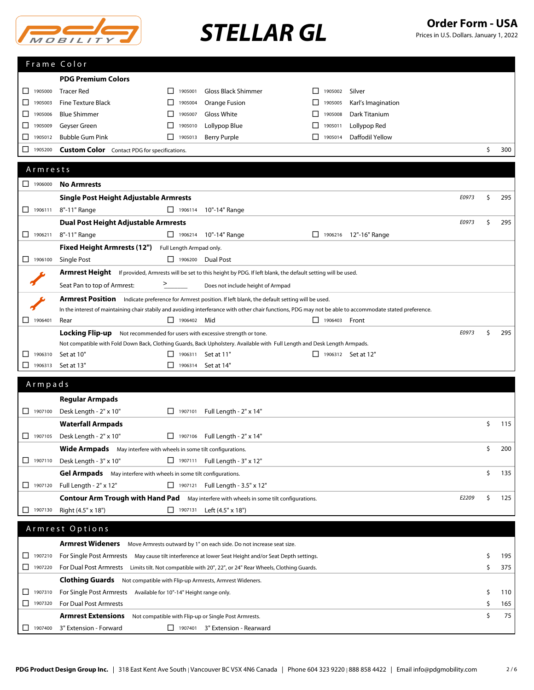

# STELLAR GL<br> **STELLAR GL** Prices in U.S. Dollars. January 1, 2022

|  | Prices in U.S. Dollars. January 1, 2022 |  |
|--|-----------------------------------------|--|
|--|-----------------------------------------|--|

|         |                    | Frame Color                                                                                                                                              |                                     |                                                                                         |                           |                         |       |    |     |
|---------|--------------------|----------------------------------------------------------------------------------------------------------------------------------------------------------|-------------------------------------|-----------------------------------------------------------------------------------------|---------------------------|-------------------------|-------|----|-----|
|         |                    | <b>PDG Premium Colors</b>                                                                                                                                |                                     |                                                                                         |                           |                         |       |    |     |
| ப       | 1905000            | <b>Tracer Red</b>                                                                                                                                        | 1905001<br>ΙI                       | Gloss Black Shimmer                                                                     | 1905002                   | Silver                  |       |    |     |
| ⊔       | 1905003            | <b>Fine Texture Black</b>                                                                                                                                | ⊔<br>1905004                        | Orange Fusion                                                                           | ப<br>1905005              | Karl's Imagination      |       |    |     |
| □       | 1905006            | <b>Blue Shimmer</b>                                                                                                                                      | □<br>1905007                        | Gloss White                                                                             | ப<br>1905008              | Dark Titanium           |       |    |     |
| ⊔       | 1905009            | Geyser Green                                                                                                                                             | 1905010<br>ΙI                       | Lollypop Blue                                                                           | ΙI<br>1905011             | Lollypop Red            |       |    |     |
| $\Box$  | 1905012            | <b>Bubble Gum Pink</b>                                                                                                                                   | ΙI<br>1905013                       | <b>Berry Purple</b>                                                                     | 1905014                   | Daffodil Yellow         |       |    |     |
| □       | 1905200            | <b>Custom Color</b> Contact PDG for specifications.                                                                                                      |                                     |                                                                                         |                           |                         |       | \$ | 300 |
|         |                    |                                                                                                                                                          |                                     |                                                                                         |                           |                         |       |    |     |
|         | Armrests           |                                                                                                                                                          |                                     |                                                                                         |                           |                         |       |    |     |
|         | 1906000            | <b>No Armrests</b>                                                                                                                                       |                                     |                                                                                         |                           |                         |       |    |     |
|         |                    | Single Post Height Adjustable Armrests                                                                                                                   |                                     |                                                                                         |                           |                         | E0973 | \$ | 295 |
|         | $\Box$ 1906111     | 8"-11" Range                                                                                                                                             | $\Box$ 1906114                      | 10"-14" Range                                                                           |                           |                         |       |    |     |
|         |                    | <b>Dual Post Height Adjustable Armrests</b>                                                                                                              |                                     |                                                                                         |                           |                         | E0973 | \$ | 295 |
|         | 1906211            | 8"-11" Range                                                                                                                                             |                                     | □ 1906214 10"-14" Range                                                                 |                           | □ 1906216 12"-16" Range |       |    |     |
|         |                    | <b>Fixed Height Armrests (12")</b>                                                                                                                       | Full Length Armpad only.            |                                                                                         |                           |                         |       |    |     |
|         | $\Box$ 1906100     | <b>Single Post</b>                                                                                                                                       | 1906200 Dual Post                   |                                                                                         |                           |                         |       |    |     |
|         |                    | <b>Armrest Height</b> If provided, Armrests will be set to this height by PDG. If left blank, the default setting will be used.                          |                                     |                                                                                         |                           |                         |       |    |     |
|         |                    | Seat Pan to top of Armrest:                                                                                                                              | ⋗                                   | Does not include height of Armpad                                                       |                           |                         |       |    |     |
|         |                    | Armrest Position Indicate preference for Armrest position. If left blank, the default setting will be used.                                              |                                     |                                                                                         |                           |                         |       |    |     |
|         |                    | In the interest of maintaining chair stabily and avoiding interferance with other chair functions, PDG may not be able to accommodate stated preference. |                                     |                                                                                         |                           |                         |       |    |     |
| □       | 1906401            | Rear                                                                                                                                                     | $\Box$ 1906402 Mid                  |                                                                                         | □ 1906403 Front           |                         |       |    |     |
|         |                    | Locking Flip-up                                                                                                                                          |                                     | Not recommended for users with excessive strength or tone.                              |                           |                         | E0973 | \$ | 295 |
|         |                    | Not compatible with Fold Down Back, Clothing Guards, Back Upholstery. Available with Full Length and Desk Length Armpads.                                |                                     |                                                                                         |                           |                         |       |    |     |
| ப<br>ΙI | 1906310<br>1906313 | Set at 10"                                                                                                                                               | $\Box$ 1906311 Set at 11"<br>$\Box$ |                                                                                         | $\Box$ 1906312 Set at 12" |                         |       |    |     |
|         |                    | Set at 13"                                                                                                                                               |                                     | 1906314 Set at 14"                                                                      |                           |                         |       |    |     |
|         |                    |                                                                                                                                                          |                                     |                                                                                         |                           |                         |       |    |     |
|         | Armpads            |                                                                                                                                                          |                                     |                                                                                         |                           |                         |       |    |     |
|         |                    | <b>Regular Armpads</b>                                                                                                                                   |                                     |                                                                                         |                           |                         |       |    |     |
|         | $\Box$ 1907100     | Desk Length - 2" x 10"                                                                                                                                   | П.                                  | 1907101 Full Length - 2" x 14"                                                          |                           |                         |       |    |     |
|         |                    | <b>Waterfall Armpads</b>                                                                                                                                 |                                     |                                                                                         |                           |                         |       | \$ | 115 |
|         | $\Box$ 1907105     | Desk Length - 2" x 10"                                                                                                                                   |                                     | $\Box$ 1907106 Full Length - 2" x 14"                                                   |                           |                         |       |    |     |
|         |                    |                                                                                                                                                          |                                     |                                                                                         |                           |                         |       |    | 200 |
|         | $\Box$ 1907110     | Wide Armpads May interfere with wheels in some tilt configurations.<br>Desk Length - 3" x 10"                                                            |                                     | $\Box$ 1907111 Full Length - 3" x 12"                                                   |                           |                         |       |    |     |
|         |                    | Gel Armpads May interfere with wheels in some tilt configurations.                                                                                       |                                     |                                                                                         |                           |                         |       | \$ | 135 |
|         | $\Box$ 1907120     | Full Length - 2" x 12"                                                                                                                                   |                                     | $\Box$ 1907121 Full Length - 3.5" x 12"                                                 |                           |                         |       |    |     |
|         |                    | <b>Contour Arm Trough with Hand Pad</b> May interfere with wheels in some tilt configurations.                                                           |                                     |                                                                                         |                           |                         | E2209 | \$ | 125 |
|         | $\Box$ 1907130     | Right (4.5" x 18")                                                                                                                                       | $\Box$ 1907131                      | Left (4.5" x 18")                                                                       |                           |                         |       |    |     |
|         |                    |                                                                                                                                                          |                                     |                                                                                         |                           |                         |       |    |     |
|         |                    | Armrest Options                                                                                                                                          |                                     |                                                                                         |                           |                         |       |    |     |
|         |                    | Armrest Wideners                                                                                                                                         |                                     | Move Armrests outward by 1" on each side. Do not increase seat size.                    |                           |                         |       |    |     |
| □       | 1907210            | For Single Post Armrests May cause tilt interference at lower Seat Height and/or Seat Depth settings.                                                    |                                     |                                                                                         |                           |                         |       | Ş  | 195 |
|         | 1907220            | For Dual Post Armrests Limits tilt. Not compatible with 20", 22", or 24" Rear Wheels, Clothing Guards.                                                   |                                     |                                                                                         |                           |                         |       | \$ | 375 |
|         |                    | <b>Clothing Guards</b> Not compatible with Flip-up Armrests, Armrest Wideners.                                                                           |                                     |                                                                                         |                           |                         |       |    |     |
| ◻       | 1907310            | For Single Post Armrests Available for 10"-14" Height range only.                                                                                        |                                     |                                                                                         |                           |                         |       | \$ | 110 |
| □.      | 1907320            | For Dual Post Armrests                                                                                                                                   |                                     |                                                                                         |                           |                         |       | \$ | 165 |
| ப       | 1907400            | <b>Armrest Extensions</b><br>3" Extension - Forward                                                                                                      |                                     | Not compatible with Flip-up or Single Post Armrests.<br>1907401 3" Extension - Rearward |                           |                         |       | \$ | 75  |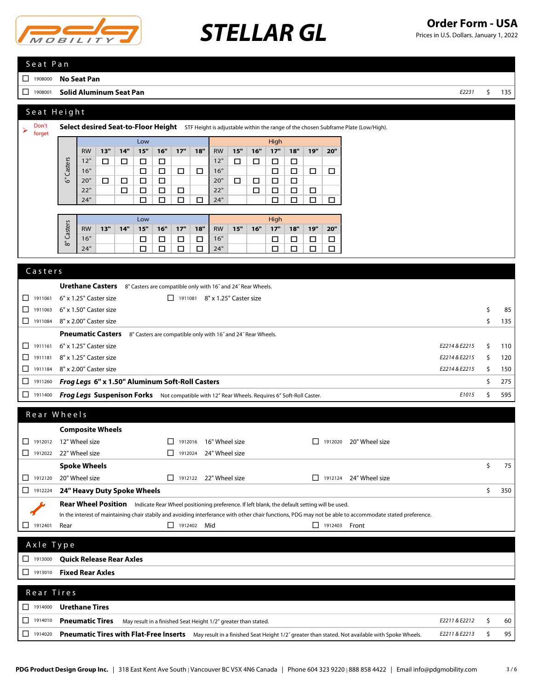

Prices in U.S. Dollars. January 1, 2022

### S e a t P a n

<sup>1908000</sup> **No Seat Pan**

<sup>1908001</sup> **Solid Aluminum Seat Pan** *E2231* \$ 135

### Seat Height

| ➤       | Don't<br>forget |                                                 |                                                                                               |     |        |                                                              |                  |                  |        |                                       |     |        |        |        |                  |        | Select desired Seat-to-Floor Height STF Height is adjustable within the range of the chosen Subframe Plate (Low/High). |               |    |     |
|---------|-----------------|-------------------------------------------------|-----------------------------------------------------------------------------------------------|-----|--------|--------------------------------------------------------------|------------------|------------------|--------|---------------------------------------|-----|--------|--------|--------|------------------|--------|------------------------------------------------------------------------------------------------------------------------|---------------|----|-----|
|         |                 |                                                 |                                                                                               |     |        | Low                                                          |                  |                  |        |                                       |     |        | High   |        |                  |        |                                                                                                                        |               |    |     |
|         |                 |                                                 | <b>RW</b>                                                                                     | 13" | 14"    | 15"                                                          | 16"              | 17"              | 18"    | <b>RW</b>                             | 15" | 16"    | 17"    | 18"    | 19"              | 20"    |                                                                                                                        |               |    |     |
|         |                 | Casters                                         | 12"                                                                                           | □   | □      | $\Box$                                                       | $\Box$           |                  |        | 12"                                   | □   | $\Box$ | □      | □      |                  |        |                                                                                                                        |               |    |     |
|         |                 |                                                 | 16"                                                                                           |     |        | $\Box$                                                       | □                | □                | $\Box$ | 16"                                   |     |        | $\Box$ | $\Box$ | □                | □      |                                                                                                                        |               |    |     |
|         |                 | తే                                              | 20"                                                                                           | □   | $\Box$ | $\Box$                                                       | □                |                  |        | 20"                                   | □   | $\Box$ | $\Box$ | $\Box$ |                  |        |                                                                                                                        |               |    |     |
|         |                 |                                                 | 22"<br>24"                                                                                    |     | $\Box$ | $\Box$                                                       | $\Box$<br>$\Box$ | $\Box$<br>$\Box$ | $\Box$ | 22"<br>24"                            |     | $\Box$ | $\Box$ | $\Box$ | $\Box$<br>$\Box$ |        |                                                                                                                        |               |    |     |
|         |                 |                                                 |                                                                                               |     |        | $\Box$                                                       |                  |                  |        |                                       |     |        | □      | $\Box$ |                  | $\Box$ |                                                                                                                        |               |    |     |
|         |                 |                                                 |                                                                                               |     |        | Low                                                          |                  |                  |        |                                       |     |        | High   |        |                  |        |                                                                                                                        |               |    |     |
|         |                 | Casters                                         | <b>RW</b>                                                                                     | 13" | 14"    | 15"                                                          | 16"              | 17"              | 18"    | <b>RW</b>                             | 15" | 16"    | 17"    | 18"    | 19"              | 20"    |                                                                                                                        |               |    |     |
|         |                 |                                                 | 16"                                                                                           |     |        | □                                                            | □                | □                | $\Box$ | 16"                                   |     |        | □      | $\Box$ | $\Box$           | $\Box$ |                                                                                                                        |               |    |     |
|         |                 | $\bar{5}$                                       | 24"                                                                                           |     |        | $\Box$                                                       | □                | □                | $\Box$ | 24"                                   |     |        | $\Box$ | □      | □                | $\Box$ |                                                                                                                        |               |    |     |
|         |                 |                                                 |                                                                                               |     |        |                                                              |                  |                  |        |                                       |     |        |        |        |                  |        |                                                                                                                        |               |    |     |
|         | Casters         |                                                 |                                                                                               |     |        |                                                              |                  |                  |        |                                       |     |        |        |        |                  |        |                                                                                                                        |               |    |     |
|         |                 |                                                 | <b>Urethane Casters</b>                                                                       |     |        | 8" Casters are compatible only with 16" and 24" Rear Wheels. |                  |                  |        |                                       |     |        |        |        |                  |        |                                                                                                                        |               |    |     |
| $\perp$ | 1911061         |                                                 | 6" x 1.25" Caster size                                                                        |     |        |                                                              |                  |                  |        | $\Box$ 1911081 8" x 1.25" Caster size |     |        |        |        |                  |        |                                                                                                                        |               |    |     |
| $\Box$  | 1911063         |                                                 | 6" x 1.50" Caster size                                                                        |     |        |                                                              |                  |                  |        |                                       |     |        |        |        |                  |        |                                                                                                                        |               | \$ | 85  |
|         | $\Box$ 1911084  |                                                 | 8" x 2.00" Caster size                                                                        |     |        |                                                              |                  |                  |        |                                       |     |        |        |        |                  |        |                                                                                                                        |               | Ŝ. | 135 |
|         |                 |                                                 | <b>Pneumatic Casters</b>                                                                      |     |        | 8" Casters are compatible only with 16" and 24" Rear Wheels. |                  |                  |        |                                       |     |        |        |        |                  |        |                                                                                                                        |               |    |     |
| П.      | 1911161         |                                                 | 6" x 1.25" Caster size                                                                        |     |        |                                                              |                  |                  |        |                                       |     |        |        |        |                  |        |                                                                                                                        | E2214 & E2215 | Ŝ. | 110 |
| П.      | 1911181         |                                                 | 8" x 1.25" Caster size                                                                        |     |        |                                                              |                  |                  |        |                                       |     |        |        |        |                  |        |                                                                                                                        | E2214 & E2215 | Ŝ. | 120 |
| П.      | 1911184         | 8" x 2.00" Caster size                          |                                                                                               |     |        |                                                              |                  |                  |        |                                       |     |        |        |        |                  |        |                                                                                                                        | E2214 & E2215 | Ŝ. | 150 |
|         | $\Box$ 1911260  | Frog Legs 6" x 1.50" Aluminum Soft-Roll Casters |                                                                                               |     |        |                                                              |                  |                  |        |                                       |     |        |        |        |                  |        |                                                                                                                        |               | \$ | 275 |
|         | $\Box$ 1911400  |                                                 | Frog Legs Suspenison Forks Not compatible with 12" Rear Wheels. Requires 6" Soft-Roll Caster. |     |        |                                                              |                  |                  |        |                                       |     |        |        |        |                  |        |                                                                                                                        | E1015         | Ŝ. | 595 |
| $\sim$  |                 | $341$ $1$                                       |                                                                                               |     |        |                                                              |                  |                  |        |                                       |     |        |        |        |                  |        |                                                                                                                        |               |    |     |

|              | Rear Wheels                     |                                                                                                                                                          |                         |                |               |           |
|--------------|---------------------------------|----------------------------------------------------------------------------------------------------------------------------------------------------------|-------------------------|----------------|---------------|-----------|
|              | <b>Composite Wheels</b>         |                                                                                                                                                          |                         |                |               |           |
| □<br>1912012 | 12" Wheel size                  | 16" Wheel size<br>П<br>1912016                                                                                                                           | $\mathbf{L}$<br>1912020 | 20" Wheel size |               |           |
| 1912022<br>⊔ | 22" Wheel size                  | 24" Wheel size<br>$\perp$<br>1912024                                                                                                                     |                         |                |               |           |
|              | <b>Spoke Wheels</b>             |                                                                                                                                                          |                         |                |               | \$<br>75  |
| 1912120<br>П | 20" Wheel size                  | 22" Wheel size<br>П.<br>1912122                                                                                                                          | 1912124<br>ΙI           | 24" Wheel size |               |           |
| □<br>1912224 | 24" Heavy Duty Spoke Wheels     |                                                                                                                                                          |                         |                |               | \$<br>350 |
|              | <b>Rear Wheel Position</b>      | Indicate Rear Wheel positioning preference. If left blank, the default setting will be used.                                                             |                         |                |               |           |
|              |                                 | In the interest of maintaining chair stabily and avoiding interferance with other chair functions, PDG may not be able to accommodate stated preference. |                         |                |               |           |
| 1912401<br>ப | Rear                            | П<br>1912402<br>Mid                                                                                                                                      | $\mathsf{L}$<br>1912403 | Front          |               |           |
| Axle Type    |                                 |                                                                                                                                                          |                         |                |               |           |
| П<br>1913000 | <b>Quick Release Rear Axles</b> |                                                                                                                                                          |                         |                |               |           |
| П<br>1913010 | <b>Fixed Rear Axles</b>         |                                                                                                                                                          |                         |                |               |           |
| Rear Tires   |                                 |                                                                                                                                                          |                         |                |               |           |
| □<br>1914000 | <b>Urethane Tires</b>           |                                                                                                                                                          |                         |                |               |           |
| □<br>1914010 | <b>Pneumatic Tires</b>          | May result in a finished Seat Height 1/2" greater than stated.                                                                                           |                         |                | E2211 & E2212 | \$<br>60  |

<sup>1914020</sup> **Pneumatic Tires with Flat-Free Inserts** May result in a finished Seat Height 1/2˝ greater than stated. Not available with Spoke Wheels. *E2211 & E2213* \$ 95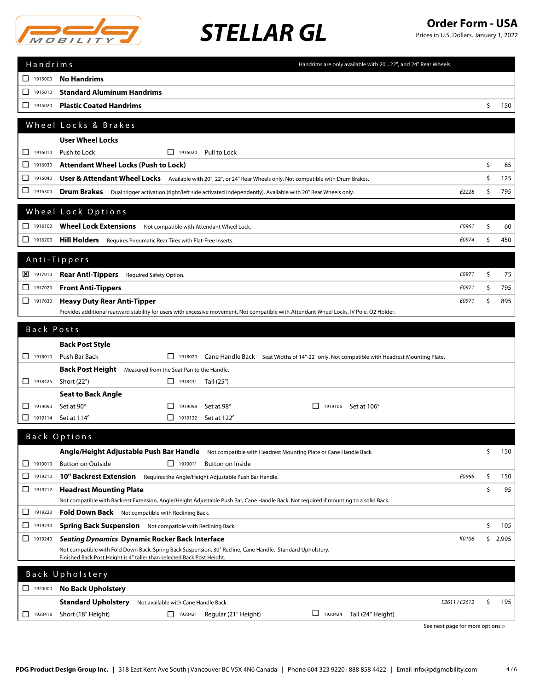

Prices in U.S. Dollars. January 1, 2022

| Handrims                | Handrims are only available with 20", 22", and 24" Rear Wheels.                                                                                                                             |             |
|-------------------------|---------------------------------------------------------------------------------------------------------------------------------------------------------------------------------------------|-------------|
| 1915000                 | <b>No Handrims</b>                                                                                                                                                                          |             |
| 1915010<br>□            | <b>Standard Aluminum Handrims</b>                                                                                                                                                           |             |
| 1915020<br>ப            | <b>Plastic Coated Handrims</b>                                                                                                                                                              | \$<br>150   |
|                         | Wheel Locks & Brakes                                                                                                                                                                        |             |
|                         | <b>User Wheel Locks</b>                                                                                                                                                                     |             |
| 1916010<br>$\mathsf{L}$ | Push to Lock<br>$\Box$ 1916020<br>Pull to Lock                                                                                                                                              |             |
| □<br>1916030            | <b>Attendant Wheel Locks (Push to Lock)</b>                                                                                                                                                 | \$<br>85    |
| 1916040<br>□            | User & Attendant Wheel Locks Available with 20", 22", or 24" Rear Wheels only. Not compatible with Drum Brakes.                                                                             | \$<br>125   |
| ш<br>1916300            | Drum Brakes Dual trigger activation (right/left side activated independently). Available with 20" Rear Wheels only.<br>E2228                                                                | \$<br>795   |
|                         |                                                                                                                                                                                             |             |
|                         | Wheel Lock Options                                                                                                                                                                          |             |
| $\Box$ 1916100          | Wheel Lock Extensions Not compatible with Attendant Wheel Lock.<br>E0961                                                                                                                    | \$<br>60    |
| $\Box$ 1916200          | <b>Hill Holders</b> Requires Pneumatic Rear Tires with Flat-Free Inserts.<br>E0974                                                                                                          | \$<br>450   |
|                         | Anti-Tippers                                                                                                                                                                                |             |
| <b>X</b> 1917010        | <b>Rear Anti-Tippers</b><br>E0971<br>Required Safety Option.                                                                                                                                | \$<br>75    |
| 1917020<br>⊔            | <b>Front Anti-Tippers</b><br>E0971                                                                                                                                                          | \$<br>795   |
| $\Box$ 1917030          | <b>Heavy Duty Rear Anti-Tipper</b><br>E0971                                                                                                                                                 | \$<br>895   |
|                         | Provides additional rearward stability for users with excessive movement. Not compatible with Attendant Wheel Locks, IV Pole, O2 Holder.                                                    |             |
| Back Posts              |                                                                                                                                                                                             |             |
|                         | <b>Back Post Style</b>                                                                                                                                                                      |             |
| $\Box$ 1918010          | Push Bar Back<br>$\Box$ 1918020<br>Cane Handle Back Seat Widths of 14"-22" only. Not compatible with Headrest Mounting Plate.                                                               |             |
|                         | Back Post Height Measured from the Seat Pan to the Handle.                                                                                                                                  |             |
| $\Box$ 1918425          | Short (22")<br>$\Box$ 1918431 Tall (25")                                                                                                                                                    |             |
|                         | <b>Seat to Back Angle</b>                                                                                                                                                                   |             |
| 1919090<br>⊔            | Set at 90°<br>$\Box$ 1919098<br>Set at 98°<br>$\perp$<br>1919106 Set at 106°                                                                                                                |             |
| 1919114<br>⊔            | Set at 114°<br>$\Box$ 1919122<br>Set at 122°                                                                                                                                                |             |
|                         | Back Options                                                                                                                                                                                |             |
|                         | Angle/Height Adjustable Push Bar Handle Not compatible with Headrest Mounting Plate or Cane Handle Back.                                                                                    | \$<br>150   |
| $\Box$ 1919010          | <b>Button on Outside</b><br>$\Box$ 1919011<br>Button on Inside                                                                                                                              |             |
| □<br>1919210            | E0966<br><b>10" Backrest Extension</b><br>Requires the Angle/Height Adjustable Push Bar Handle.                                                                                             | \$<br>150   |
| □<br>1919212            | <b>Headrest Mounting Plate</b>                                                                                                                                                              | \$<br>95    |
| 1919220<br>ப            | Not compatible with Backrest Extension, Angle/Height Adjustable Push Bar, Cane Handle Back. Not required if mounting to a solid Back.<br>Fold Down Back Not compatible with Reclining Back. |             |
| 1919230<br>ப            | <b>Spring Back Suspension</b> Not compatible with Reclining Back.                                                                                                                           | \$<br>105   |
| □<br>1919240            | <b>Seating Dynamics Dynamic Rocker Back Interface</b><br>K0108                                                                                                                              | \$<br>2,995 |
|                         | Not compatible with Fold Down Back, Spring Back Suspension, 30° Recline, Cane Handle, Standard Upholstery.                                                                                  |             |
|                         | Finished Back Post Height is 4" taller than selected Back Post Height.                                                                                                                      |             |
|                         | Back Upholstery                                                                                                                                                                             |             |
| 1920000                 | <b>No Back Upholstery</b>                                                                                                                                                                   |             |
|                         | <b>Standard Upholstery</b><br>E2611/E2612<br>Not available with Cane Handle Back.                                                                                                           | \$<br>195   |
| 1920418<br>ப            | $\Box$ 1920424<br>Short (18" Height)<br>Regular (21" Height)<br>Tall (24" Height)<br>1920421                                                                                                |             |
|                         | See next page for more options >                                                                                                                                                            |             |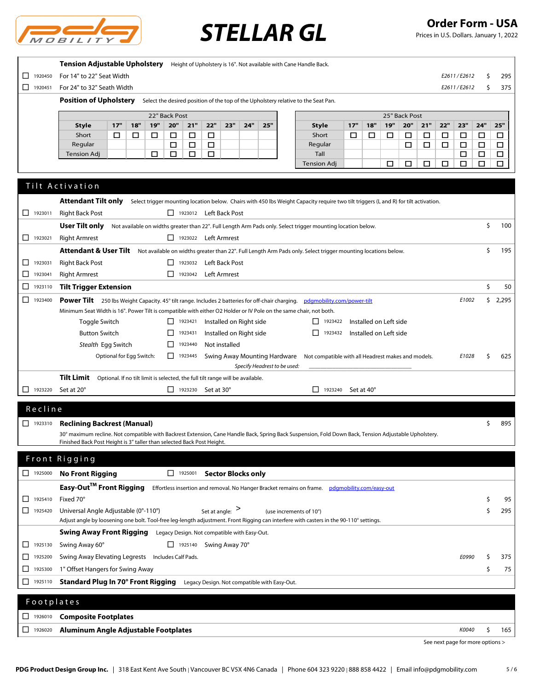

Prices in U.S. Dollars. January 1, 2022

|                | Tension Adjustable Upholstery Height of Upholstery is 16". Not available with Cane Handle Back.                                                                                             |             |        |       |
|----------------|---------------------------------------------------------------------------------------------------------------------------------------------------------------------------------------------|-------------|--------|-------|
| □<br>1920450   | For 14" to 22" Seat Width                                                                                                                                                                   | E2611/E2612 | \$     | 295   |
| $\Box$ 1920451 | For 24" to 32" Seath Width                                                                                                                                                                  | E2611/E2612 | \$     | 375   |
|                | <b>Position of Upholstery</b><br>Select the desired position of the top of the Upholstery relative to the Seat Pan.                                                                         |             |        |       |
|                | 22" Back Post<br>25" Back Post                                                                                                                                                              |             |        |       |
|                | 18"<br>19"<br>20"<br>21"<br>22"<br>25"<br>17"<br>19"<br>20"<br>21"<br>22"<br>17"<br>23"<br>24"<br>18"<br><b>Style</b><br>Style                                                              | 23"         | 24"    | 25"   |
|                | Short<br>Short<br>□<br>□<br>□<br>□<br>□<br>□<br>□<br>□<br>□<br>□<br>□<br>□                                                                                                                  | □           | □      | □     |
|                | Regular<br>□<br>$\Box$<br>□<br>Regular<br>□<br>□<br>□                                                                                                                                       | $\Box$      | $\Box$ | □     |
|                | <b>Tension Adj</b><br>□<br>□<br>□<br>□<br>Tall                                                                                                                                              | □           | □      | □     |
|                | <b>Tension Adj</b><br>□<br>□<br>□<br>□                                                                                                                                                      | □           | □      | □     |
|                |                                                                                                                                                                                             |             |        |       |
|                | Tilt Activation                                                                                                                                                                             |             |        |       |
|                | <b>Attendant Tilt only</b><br>Select trigger mounting location below. Chairs with 450 lbs Weight Capacity require two tilt triggers (L and R) for tilt activation.                          |             |        |       |
| 1923011        | <b>Right Back Post</b><br>1923012 Left Back Post                                                                                                                                            |             |        |       |
|                | User Tilt only<br>Not available on widths greater than 22". Full Length Arm Pads only. Select trigger mounting location below.                                                              |             | \$     | 100   |
| $\Box$ 1923021 | <b>Right Armrest</b><br>1923022 Left Armrest                                                                                                                                                |             |        |       |
|                | Attendant & User Tilt<br>Not available on widths greater than 22". Full Length Arm Pads only. Select trigger mounting locations below.                                                      |             | \$     | 195   |
| 1923031<br>ப   | <b>Right Back Post</b><br>$\Box$ 1923032<br>Left Back Post                                                                                                                                  |             |        |       |
| □<br>1923041   | <b>Right Armrest</b><br>$\boxed{\phantom{1}}$ 1923042<br>Left Armrest                                                                                                                       |             |        |       |
| □<br>1923110   | <b>Tilt Trigger Extension</b>                                                                                                                                                               |             | \$     | 50    |
|                |                                                                                                                                                                                             |             |        |       |
| ◻<br>1923400   | Power Tilt 250 lbs Weight Capacity. 45° tilt range. Includes 2 batteries for off-chair charging. pdgmobility.com/power-tilt                                                                 | E1002       | \$     | 2,295 |
|                | Minimum Seat Width is 16". Power Tilt is compatible with either O2 Holder or IV Pole on the same chair, not both.                                                                           |             |        |       |
|                | Installed on Right side<br>Installed on Left side<br>Toggle Switch<br>$\boxed{\phantom{1}}$ 1923421<br>1923422                                                                              |             |        |       |
|                | $\Box$ 1923432<br><b>Button Switch</b><br>$\Box$<br>Installed on Right side<br>Installed on Left side<br>1923431                                                                            |             |        |       |
|                | Stealth Egg Switch<br>$\Box$<br>Not installed<br>1923440                                                                                                                                    |             |        |       |
|                | Optional for Egg Switch:<br>$\Box$ 1923445<br>Swing Away Mounting Hardware<br>Not compatible with all Headrest makes and models.                                                            | E1028       | \$     | 625   |
|                | Specify Headrest to be used:<br>Tilt Limit                                                                                                                                                  |             |        |       |
|                | Optional. If no tilt limit is selected, the full tilt range will be available.                                                                                                              |             |        |       |
| $\Box$ 1923220 | Set at 20°<br>$\Box$ 1923230 Set at 30°<br>$\Box$ 1923240 Set at 40°                                                                                                                        |             |        |       |
| Recline        |                                                                                                                                                                                             |             |        |       |
| $\Box$ 1923310 |                                                                                                                                                                                             |             | \$     | 895   |
|                | <b>Reclining Backrest (Manual)</b><br>30° maximum recline. Not compatible with Backrest Extension, Cane Handle Back, Spring Back Suspension, Fold Down Back, Tension Adjustable Upholstery. |             |        |       |
|                | Finished Back Post Height is 3" taller than selected Back Post Height.                                                                                                                      |             |        |       |
|                |                                                                                                                                                                                             |             |        |       |
|                | Front Rigging                                                                                                                                                                               |             |        |       |
|                | <b>No Front Rigging</b><br>1925001 Sector Blocks only                                                                                                                                       |             |        |       |
|                | Easy-Out <sup>™</sup> Front Rigging<br>Effortless insertion and removal. No Hanger Bracket remains on frame. pdgmobility.com/easy-out                                                       |             |        |       |
| 1925410<br>□   | Fixed 70°                                                                                                                                                                                   |             | S      | 95    |
| 1925420        | Universal Angle Adjustable (0°-110°)<br>Set at angle: $\geq$<br>(use increments of 10°)                                                                                                     |             | \$     | 295   |
|                | Adjust angle by loosening one bolt. Tool-free leg-length adjustment. Front Rigging can interfere with casters in the 90-110° settings.                                                      |             |        |       |
|                | <b>Swing Away Front Rigging</b><br>Legacy Design. Not compatible with Easy-Out.                                                                                                             |             |        |       |
| 1925130<br>ப   | $\Box$ 1925140 Swing Away 70°<br>Swing Away 60°                                                                                                                                             |             |        |       |
| □<br>1925200   | Swing Away Elevating Legrests Includes Calf Pads.                                                                                                                                           | E0990       | S      | 375   |
| 1925300<br>⊔   | 1" Offset Hangers for Swing Away                                                                                                                                                            |             | \$     | 75    |
| 1925110<br>ப   | Standard Plug In 70° Front Rigging<br>Legacy Design. Not compatible with Easy-Out.                                                                                                          |             |        |       |
|                |                                                                                                                                                                                             |             |        |       |
| Footplates     |                                                                                                                                                                                             |             |        |       |
| $\Box$ 1926010 | <b>Composite Footplates</b>                                                                                                                                                                 |             |        |       |
|                |                                                                                                                                                                                             |             |        |       |
| 1926020        | Aluminum Angle Adjustable Footplates                                                                                                                                                        | K0040       | \$     | 165   |

See next page for more options >